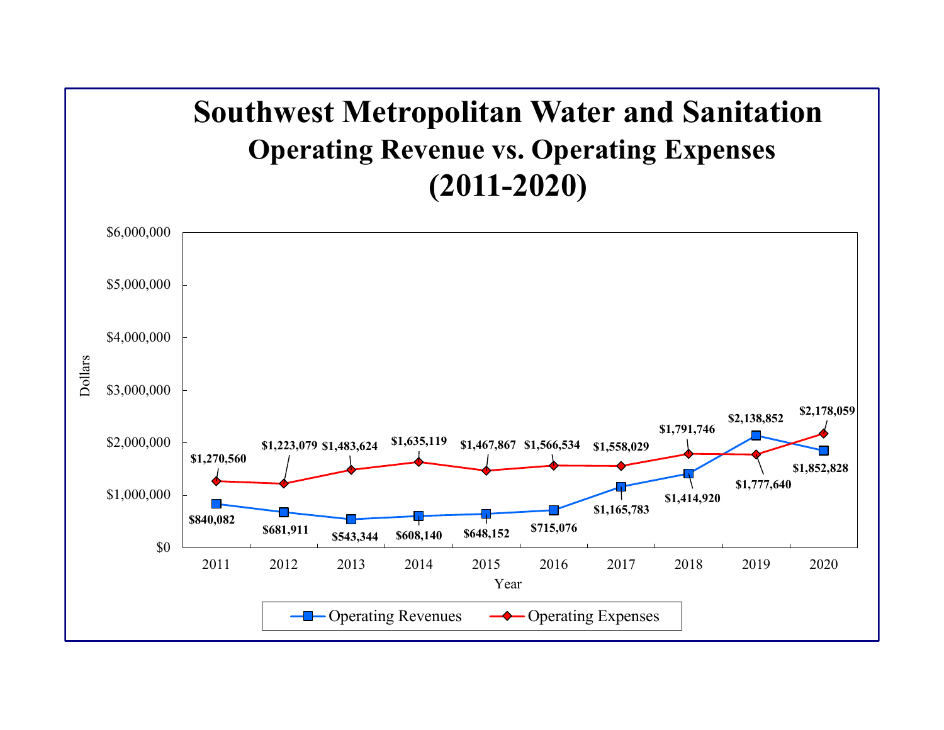## **Southwest Metropolitan Water and Sanitation Operating Revenue vs. Operating Expenses (2011-2020)**

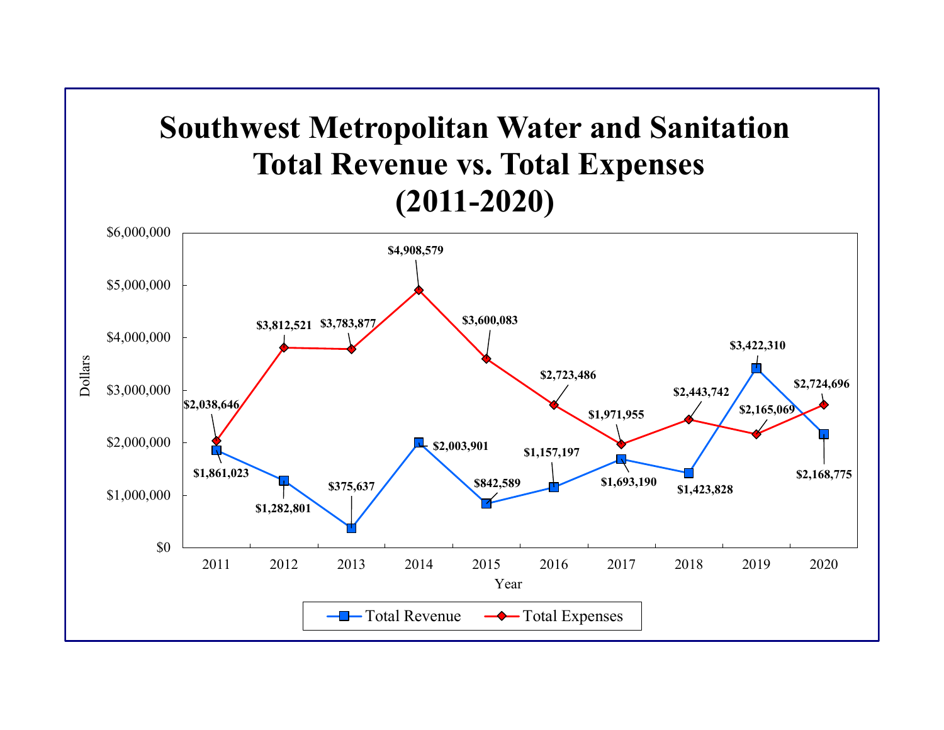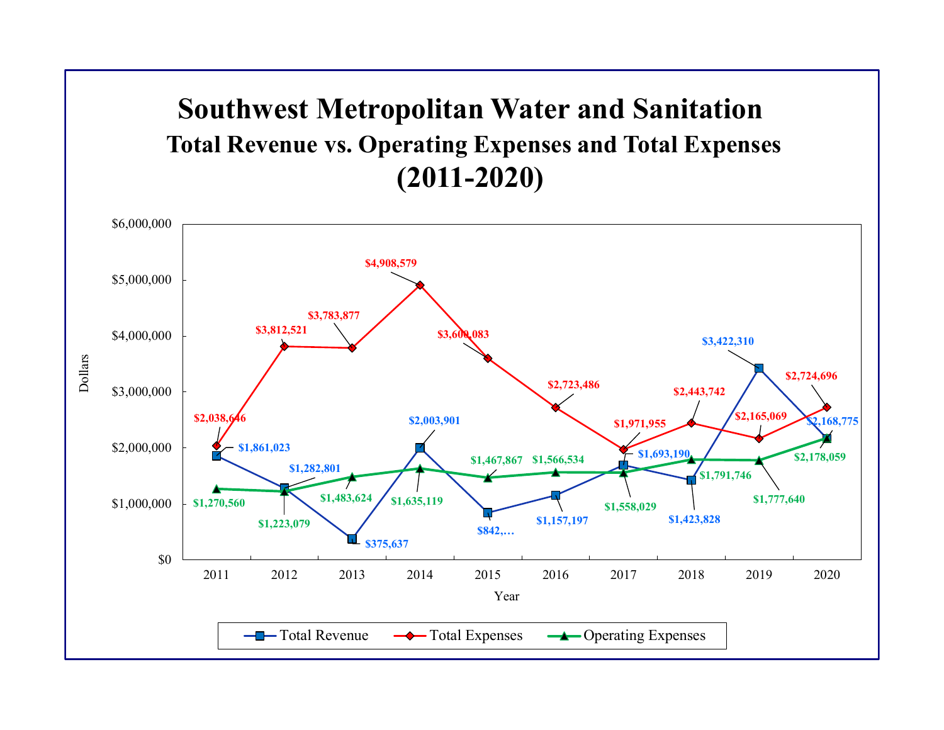## **Southwest Metropolitan Water and Sanitation Total Revenue vs. Operating Expenses and Total Expenses (2011-2020)**